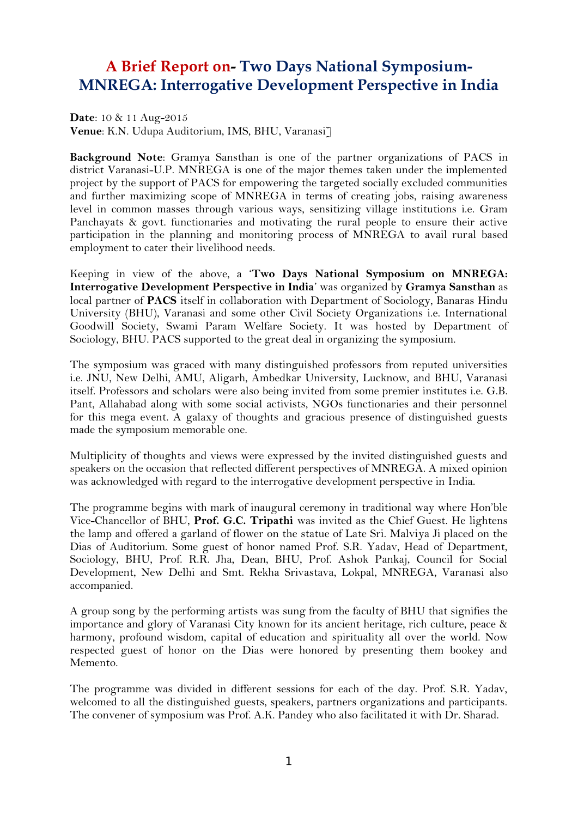## **A Brief Report on- Two Days National Symposium- MNREGA: Interrogative Development Perspective in India**

**Date**: 10 & 11 Aug-2015 **Venue**: K.N. Udupa Auditorium, IMS, BHU, Varanasi]

**Background Note**: Gramya Sansthan is one of the partner organizations of PACS in district Varanasi-U.P. MNREGA is one of the major themes taken under the implemented project by the support of PACS for empowering the targeted socially excluded communities and further maximizing scope of MNREGA in terms of creating jobs, raising awareness level in common masses through various ways, sensitizing village institutions i.e. Gram Panchayats & govt. functionaries and motivating the rural people to ensure their active participation in the planning and monitoring process of MNREGA to avail rural based employment to cater their livelihood needs.

Keeping in view of the above, a '**Two Days National Symposium on MNREGA: Interrogative Development Perspective in India**' was organized by **Gramya Sansthan** as local partner of **PACS** itself in collaboration with Department of Sociology, Banaras Hindu University (BHU), Varanasi and some other Civil Society Organizations i.e. International Goodwill Society, Swami Param Welfare Society. It was hosted by Department of Sociology, BHU. PACS supported to the great deal in organizing the symposium.

The symposium was graced with many distinguished professors from reputed universities i.e. JNU, New Delhi, AMU, Aligarh, Ambedkar University, Lucknow, and BHU, Varanasi itself. Professors and scholars were also being invited from some premier institutes i.e. G.B. Pant, Allahabad along with some social activists, NGOs functionaries and their personnel for this mega event. A galaxy of thoughts and gracious presence of distinguished guests made the symposium memorable one.

Multiplicity of thoughts and views were expressed by the invited distinguished guests and speakers on the occasion that reflected different perspectives of MNREGA. A mixed opinion was acknowledged with regard to the interrogative development perspective in India.

The programme begins with mark of inaugural ceremony in traditional way where Hon'ble Vice-Chancellor of BHU, **Prof. G.C. Tripathi** was invited as the Chief Guest. He lightens the lamp and offered a garland of flower on the statue of Late Sri. Malviya Ji placed on the Dias of Auditorium. Some guest of honor named Prof. S.R. Yadav, Head of Department, Sociology, BHU, Prof. R.R. Jha, Dean, BHU, Prof. Ashok Pankaj, Council for Social Development, New Delhi and Smt. Rekha Srivastava, Lokpal, MNREGA, Varanasi also accompanied.

A group song by the performing artists was sung from the faculty of BHU that signifies the importance and glory of Varanasi City known for its ancient heritage, rich culture, peace & harmony, profound wisdom, capital of education and spirituality all over the world. Now respected guest of honor on the Dias were honored by presenting them bookey and Memento.

The programme was divided in different sessions for each of the day. Prof. S.R. Yadav, welcomed to all the distinguished guests, speakers, partners organizations and participants. The convener of symposium was Prof. A.K. Pandey who also facilitated it with Dr. Sharad.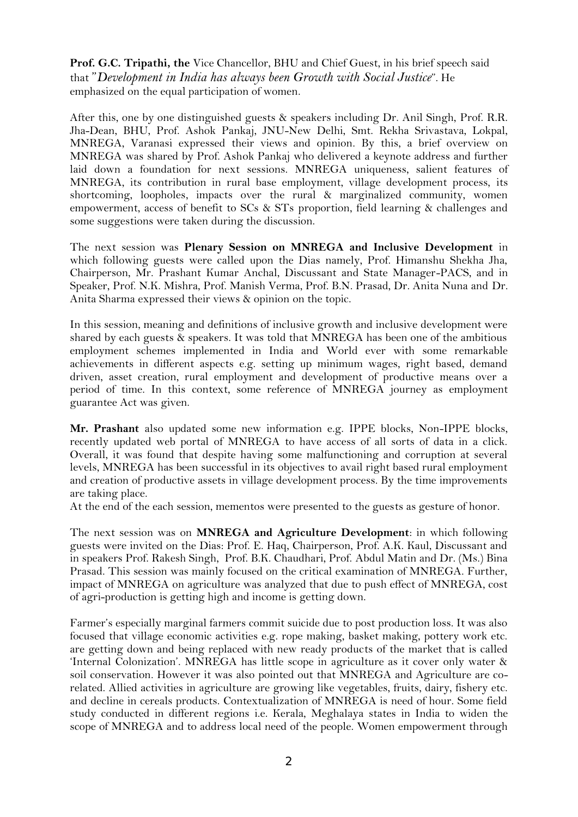**Prof. G.C. Tripathi, the** Vice Chancellor, BHU and Chief Guest, in his brief speech said that "*Development in India has always been Growth with Social Justice*". He emphasized on the equal participation of women.

After this, one by one distinguished guests & speakers including Dr. Anil Singh, Prof. R.R. Jha-Dean, BHU, Prof. Ashok Pankaj, JNU-New Delhi, Smt. Rekha Srivastava, Lokpal, MNREGA, Varanasi expressed their views and opinion. By this, a brief overview on MNREGA was shared by Prof. Ashok Pankaj who delivered a keynote address and further laid down a foundation for next sessions. MNREGA uniqueness, salient features of MNREGA, its contribution in rural base employment, village development process, its shortcoming, loopholes, impacts over the rural & marginalized community, women empowerment, access of benefit to SCs & STs proportion, field learning & challenges and some suggestions were taken during the discussion.

The next session was **Plenary Session on MNREGA and Inclusive Development** in which following guests were called upon the Dias namely, Prof. Himanshu Shekha Jha, Chairperson, Mr. Prashant Kumar Anchal, Discussant and State Manager-PACS, and in Speaker, Prof. N.K. Mishra, Prof. Manish Verma, Prof. B.N. Prasad, Dr. Anita Nuna and Dr. Anita Sharma expressed their views & opinion on the topic.

In this session, meaning and definitions of inclusive growth and inclusive development were shared by each guests  $\&$  speakers. It was told that MNREGA has been one of the ambitious employment schemes implemented in India and World ever with some remarkable achievements in different aspects e.g. setting up minimum wages, right based, demand driven, asset creation, rural employment and development of productive means over a period of time. In this context, some reference of MNREGA journey as employment guarantee Act was given.

**Mr. Prashant** also updated some new information e.g. IPPE blocks, Non-IPPE blocks, recently updated web portal of MNREGA to have access of all sorts of data in a click. Overall, it was found that despite having some malfunctioning and corruption at several levels, MNREGA has been successful in its objectives to avail right based rural employment and creation of productive assets in village development process. By the time improvements are taking place.

At the end of the each session, mementos were presented to the guests as gesture of honor.

The next session was on **MNREGA and Agriculture Development**: in which following guests were invited on the Dias: Prof. E. Haq, Chairperson, Prof. A.K. Kaul, Discussant and in speakers Prof. Rakesh Singh, Prof. B.K. Chaudhari, Prof. Abdul Matin and Dr. (Ms.) Bina Prasad. This session was mainly focused on the critical examination of MNREGA. Further, impact of MNREGA on agriculture was analyzed that due to push effect of MNREGA, cost of agri-production is getting high and income is getting down.

Farmer's especially marginal farmers commit suicide due to post production loss. It was also focused that village economic activities e.g. rope making, basket making, pottery work etc. are getting down and being replaced with new ready products of the market that is called 'Internal Colonization'. MNREGA has little scope in agriculture as it cover only water & soil conservation. However it was also pointed out that MNREGA and Agriculture are co related. Allied activities in agriculture are growing like vegetables, fruits, dairy, fishery etc. and decline in cereals products. Contextualization of MNREGA is need of hour. Some field study conducted in different regions i.e. Kerala, Meghalaya states in India to widen the scope of MNREGA and to address local need of the people. Women empowerment through